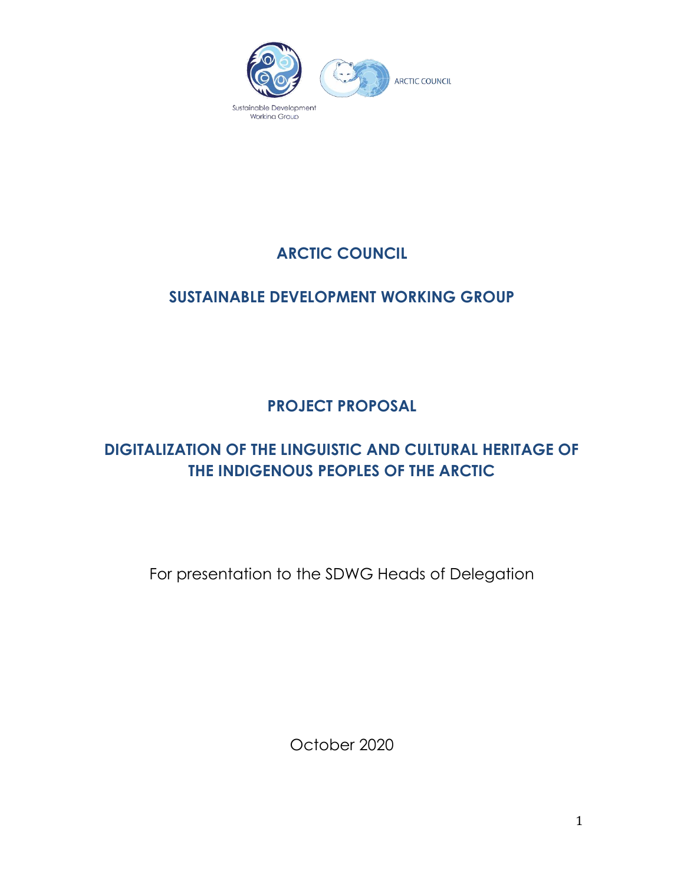

# **ARCTIC COUNCIL**

## **SUSTAINABLE DEVELOPMENT WORKING GROUP**

**PROJECT PROPOSAL**

## **DIGITALIZATION OF THE LINGUISTIC AND CULTURAL HERITAGE OF THE INDIGENOUS PEOPLES OF THE ARCTIC**

For presentation to the SDWG Heads of Delegation

October 2020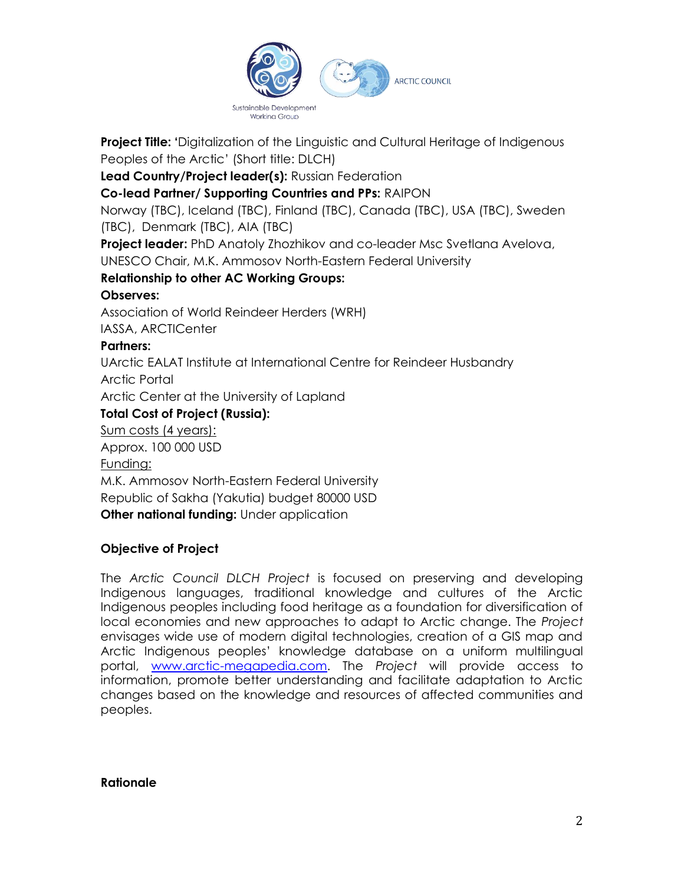

**Project Title: '**Digitalization of the Linguistic and Cultural Heritage of Indigenous Peoples of the Arctic' (Short title: DLCH)

**Lead Country/Project leader(s):** Russian Federation

**Co-lead Partner/ Supporting Countries and PPs:** RAIPON

Norway (TBC), Iceland (TBC), Finland (TBC), Canada (TBC), USA (TBC), Sweden (TBC), Denmark (TBC), AIA (TBC)

**Project leader:** PhD Anatoly Zhozhikov and co-leader Msc Svetlana Avelova, UNESCO Chair, M.K. Ammosov North-Eastern Federal University

## **Relationship to other AC Working Groups:**

#### **Observes:**

Association of World Reindeer Herders (WRH)

IASSA, ARCTICenter

#### **Partners:**

UArctic EALAT Institute at International Centre for Reindeer Husbandry

Arctic Portal

Arctic Center at the University of Lapland

## **Total Cost of Project (Russia):**

Sum costs (4 years):

Approx. 100 000 USD

Funding:

M.K. Ammosov North-Eastern Federal University Republic of Sakha (Yakutia) budget 80000 USD **Other national funding:** Under application

## **Objective of Project**

The *Arctic Council DLCH Project* is focused on preserving and developing Indigenous languages, traditional knowledge and cultures of the Arctic Indigenous peoples including food heritage as a foundation for diversification of local economies and new approaches to adapt to Arctic change. The *Project* envisages wide use of modern digital technologies, creation of a GIS map and Arctic Indigenous peoples' knowledge database on a uniform multilingual portal, [www.arctic-megapedia.com.](http://www.arctic-megapedia.com/) The *Project* will provide access to information, promote better understanding and facilitate adaptation to Arctic changes based on the knowledge and resources of affected communities and peoples.

#### **Rationale**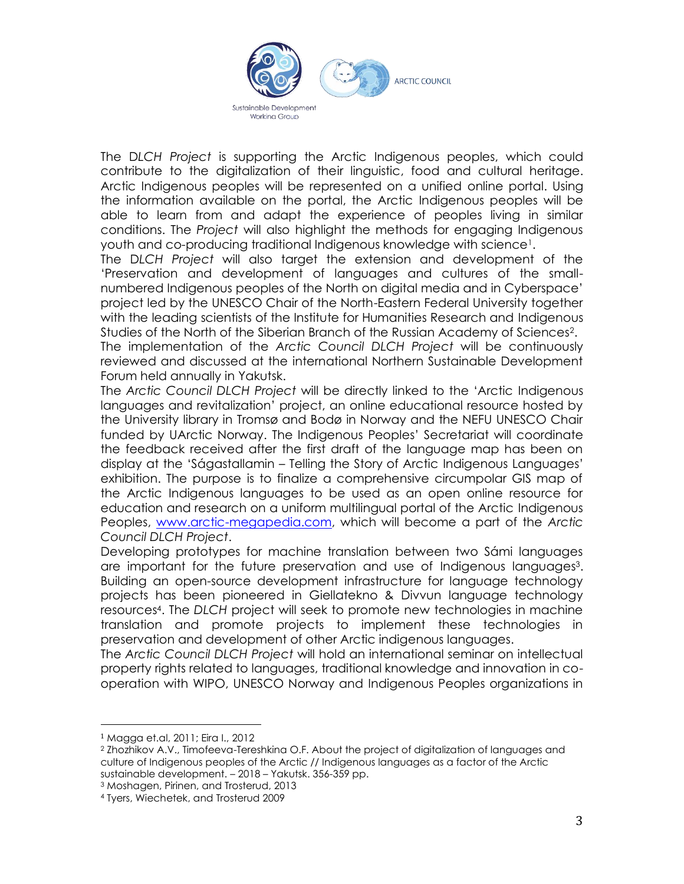

The D*LCH Project* is supporting the Arctic Indigenous peoples, which could contribute to the digitalization of their linguistic, food and cultural heritage. Arctic Indigenous peoples will be represented on a unified online portal. Using the information available on the portal, the Arctic Indigenous peoples will be able to learn from and adapt the experience of peoples living in similar conditions. The *Project* will also highlight the methods for engaging Indigenous youth and co-producing traditional Indigenous knowledge with science<sup>1</sup> .

The D*LCH Project* will also target the extension and development of the 'Preservation and development of languages and cultures of the smallnumbered Indigenous peoples of the North on digital media and in Cyberspace' project led by the UNESCO Chair of the North-Eastern Federal University together with the leading scientists of the Institute for Humanities Research and Indigenous Studies of the North of the Siberian Branch of the Russian Academy of Sciences<sup>2</sup> . The implementation of the *Arctic Council DLCH Project* will be continuously

reviewed and discussed at the international Northern Sustainable Development Forum held annually in Yakutsk.

The *Arctic Council DLCH Project* will be directly linked to the 'Arctic Indigenous languages and revitalization' project, an online educational resource hosted by the University library in Tromsø and Bodø in Norway and the NEFU UNESCO Chair funded by UArctic Norway. The Indigenous Peoples' Secretariat will coordinate the feedback received after the first draft of the language map has been on display at the 'Ságastallamin – Telling the Story of Arctic Indigenous Languages' exhibition. The purpose is to finalize a comprehensive circumpolar GIS map of the Arctic Indigenous languages to be used as an open online resource for education and research on a uniform multilingual portal of the Arctic Indigenous Peoples, [www.arctic-megapedia.com,](http://www.arctic-megapedia.com/) which will become a part of the *Arctic Council DLCH Project*.

Developing prototypes for machine translation between two Sámi languages are important for the future preservation and use of Indigenous languages<sup>3</sup>. Building an open-source development infrastructure for language technology projects has been pioneered in Giellatekno & Divvun language technology resources<sup>4</sup> . The *DLCH* project will seek to promote new technologies in machine translation and promote projects to implement these technologies in preservation and development of other Arctic indigenous languages.

The *Arctic Council DLCH Project* will hold an international seminar on intellectual property rights related to languages, traditional knowledge and innovation in cooperation with WIPO, UNESCO Norway and Indigenous Peoples organizations in

<sup>3</sup> Moshagen, Pirinen, and Trosterud, 2013

<sup>1</sup> Magga et.al, 2011; Eira I., 2012

<sup>2</sup> Zhozhikov A.V., Timofeeva-Tereshkina O.F. About the project of digitalization of languages and culture of Indigenous peoples of the Arctic // Indigenous languages as a factor of the Arctic sustainable development. – 2018 – Yakutsk. 356-359 pp.

<sup>4</sup> Tyers, Wiechetek, and Trosterud 2009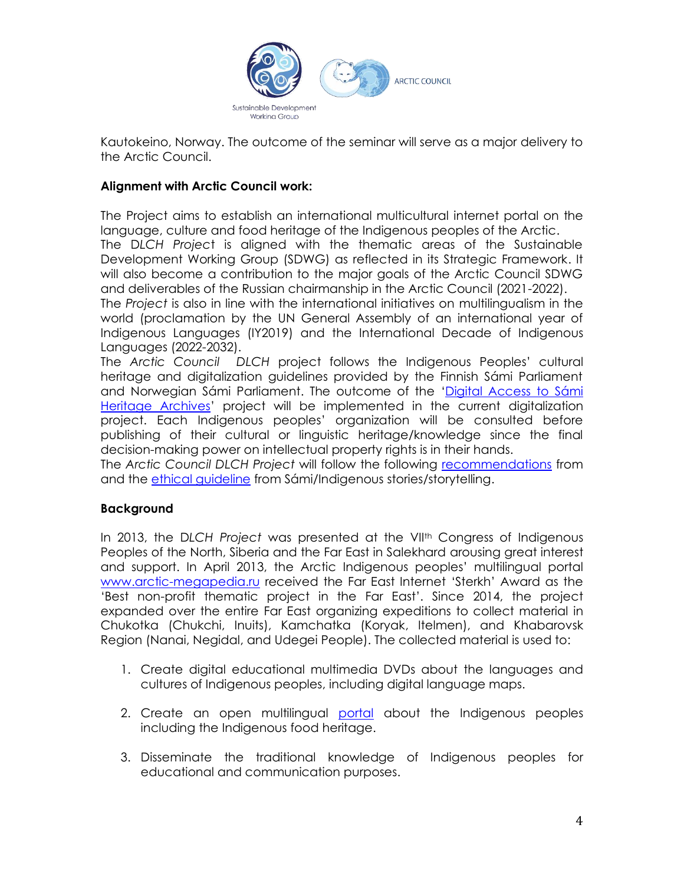

Kautokeino, Norway. The outcome of the seminar will serve as a major delivery to the Arctic Council.

#### **Alignment with Arctic Council work:**

The Project aims to establish an international multicultural internet portal on the language, culture and food heritage of the Indigenous peoples of the Arctic.

The D*LCH Projec*t is aligned with the thematic areas of the Sustainable Development Working Group (SDWG) as reflected in its Strategic Framework. It will also become a contribution to the major goals of the Arctic Council SDWG and deliverables of the Russian chairmanship in the Arctic Council (2021-2022).

The *Project* is also in line with the international initiatives on multilingualism in the world (proclamation by the UN General Assembly of an international year of Indigenous Languages (IY2019) and the International Decade of Indigenous Languages (2022-2032).

The *Arctic Council DLCH* project follows the Indigenous Peoples' cultural heritage and digitalization guidelines provided by the Finnish Sámi Parliament and Norwegian Sámi Parliament. The outcome of the '[Digital Access to Sámi](https://digisamiarchives.com/)  [Heritage Archives](https://digisamiarchives.com/)' project will be implemented in the current digitalization project. Each Indigenous peoples' organization will be consulted before publishing of their cultural or linguistic heritage/knowledge since the final decision-making power on intellectual property rights is in their hands.

The *Arctic Council DLCH Project* will follow the following [recommendations](https://sametinget.no/_f/p1/i47deed77-aebb-4ab5-b40c-48fdfb764b26/report-workshop-on-sami-intangible-cultural-heritage-nov-2019-1.pdf) from and the [ethical guideline](https://www.diva-portal.org/smash/get/diva2:1445649/FULLTEXT01.pdf) from Sámi/Indigenous stories/storytelling.

## **Background**

In 2013, the D*LCH Project* was presented at the VIIth Congress of Indigenous Peoples of the North, Siberia and the Far East in Salekhard arousing great interest and support. In April 2013, the Arctic Indigenous peoples' multilingual portal [www.arctic-megapedia.ru](http://www.arctic-megapedia.ru/) received the Far East Internet 'Sterkh' Award as the 'Best non-profit thematic project in the Far East'. Since 2014, the project expanded over the entire Far East organizing expeditions to collect material in Chukotka (Chukchi, Inuits), Kamchatka (Koryak, Itelmen), and Khabarovsk Region (Nanai, Negidal, and Udegei People). The collected material is used to:

- 1. Create digital educational multimedia DVDs about the languages and cultures of Indigenous peoples, including digital language maps.
- 2. Create an open multilingual [portal](http://www.arctic-megapedia.ru/) about the Indigenous peoples including the Indigenous food heritage.
- 3. Disseminate the traditional knowledge of Indigenous peoples for educational and communication purposes.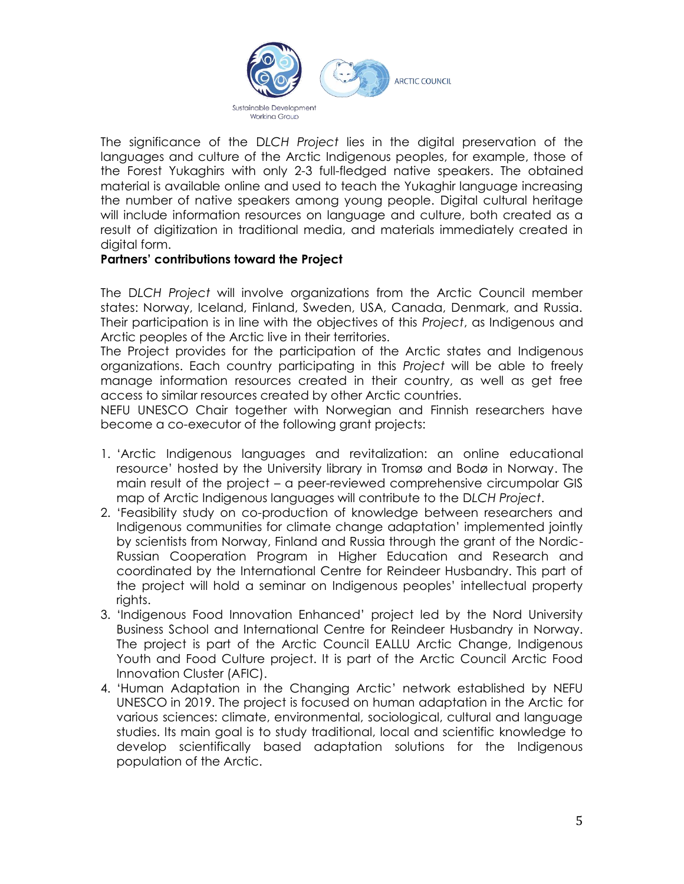

The significance of the D*LCH Project* lies in the digital preservation of the languages and culture of the Arctic Indigenous peoples, for example, those of the Forest Yukaghirs with only 2-3 full-fledged native speakers. The obtained material is available online and used to teach the Yukaghir language increasing the number of native speakers among young people. Digital cultural heritage will include information resources on language and culture, both created as a result of digitization in traditional media, and materials immediately created in digital form.

#### **Partners' contributions toward the Project**

The D*LCH Project* will involve organizations from the Arctic Council member states: Norway, Iceland, Finland, Sweden, USA, Canada, Denmark, and Russia. Their participation is in line with the objectives of this *Project*, as Indigenous and Arctic peoples of the Arctic live in their territories.

The Project provides for the participation of the Arctic states and Indigenous organizations. Each country participating in this *Project* will be able to freely manage information resources created in their country, as well as get free access to similar resources created by other Arctic countries.

NEFU UNESCO Chair together with Norwegian and Finnish researchers have become a co-executor of the following grant projects:

- 1. 'Arctic Indigenous languages and revitalization: an online educational resource' hosted by the University library in Tromsø and Bodø in Norway. The main result of the project – a peer-reviewed comprehensive circumpolar GIS map of Arctic Indigenous languages will contribute to the D*LCH Project*.
- 2. 'Feasibility study on co-production of knowledge between researchers and Indigenous communities for climate change adaptation' implemented jointly by scientists from Norway, Finland and Russia through the grant of the Nordic-Russian Cooperation Program in Higher Education and Research and coordinated by the International Centre for Reindeer Husbandry. This part of the project will hold a seminar on Indigenous peoples' intellectual property rights.
- 3. 'Indigenous Food Innovation Enhanced' project led by the Nord University Business School and International Centre for Reindeer Husbandry in Norway. The project is part of the Arctic Council EALLU Arctic Change, Indigenous Youth and Food Culture project. It is part of the Arctic Council Arctic Food Innovation Cluster (AFIC).
- 4. 'Human Adaptation in the Changing Arctic' network established by NEFU UNESCO in 2019. The project is focused on human adaptation in the Arctic for various sciences: climate, environmental, sociological, cultural and language studies. Its main goal is to study traditional, local and scientific knowledge to develop scientifically based adaptation solutions for the Indigenous population of the Arctic.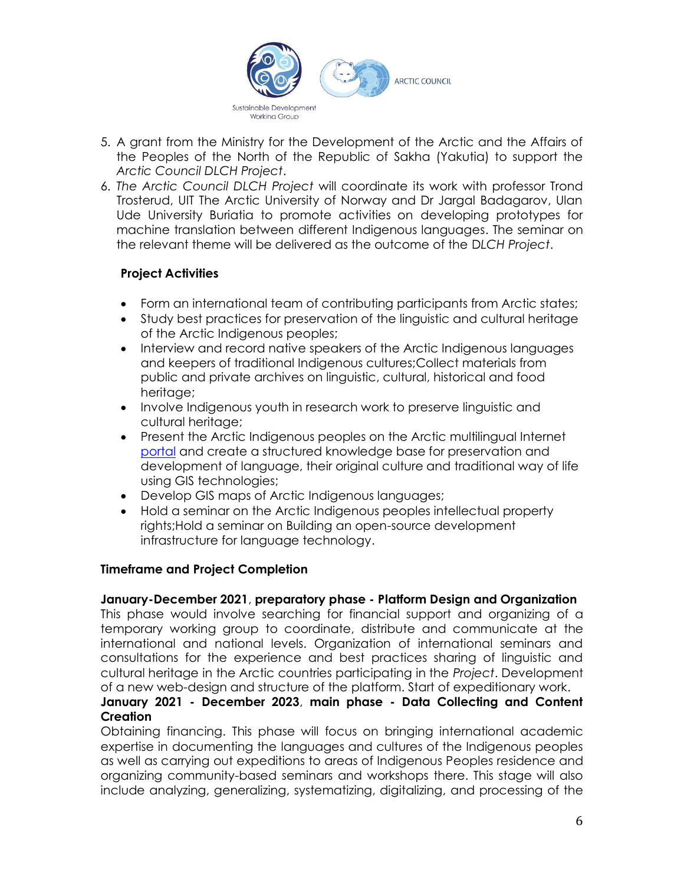

- 5. A grant from the Ministry for the Development of the Arctic and the Affairs of the Peoples of the North of the Republic of Sakha (Yakutia) to support the *Arctic Council DLCH Project*.
- 6. *The Arctic Council DLCH Project* will coordinate its work with professor Trond Trosterud, UIT The Arctic University of Norway and Dr Jargal Badagarov, Ulan Ude University Buriatia to promote activities on developing prototypes for machine translation between different Indigenous languages. The seminar on the relevant theme will be delivered as the outcome of the D*LCH Project*.

## **Project Activities**

- Form an international team of contributing participants from Arctic states;
- Study best practices for preservation of the linguistic and cultural heritage of the Arctic Indigenous peoples;
- Interview and record native speakers of the Arctic Indigenous languages and keepers of traditional Indigenous cultures;Collect materials from public and private archives on linguistic, cultural, historical and food heritage;
- Involve Indigenous youth in research work to preserve linguistic and cultural heritage;
- Present the Arctic Indigenous peoples on the Arctic multilingual Internet [portal](http://www.arctic-megapedia.com/) and create a structured knowledge base for preservation and development of language, their original culture and traditional way of life using GIS technologies;
- Develop GIS maps of Arctic Indigenous languages;
- Hold a seminar on the Arctic Indigenous peoples intellectual property rights;Hold a seminar on Building an open-source development infrastructure for language technology.

## **Timeframe and Project Completion**

## **January-December 2021**, **preparatory phase - Platform Design and Organization**

This phase would involve searching for financial support and organizing of a temporary working group to coordinate, distribute and communicate at the international and national levels. Organization of international seminars and consultations for the experience and best practices sharing of linguistic and cultural heritage in the Arctic countries participating in the *Project*. Development of a new web-design and structure of the platform. Start of expeditionary work.

## **January 2021 - December 2023**, **main phase - Data Collecting and Content Creation**

Obtaining financing. This phase will focus on bringing international academic expertise in documenting the languages and cultures of the Indigenous peoples as well as carrying out expeditions to areas of Indigenous Peoples residence and organizing community-based seminars and workshops there. This stage will also include analyzing, generalizing, systematizing, digitalizing, and processing of the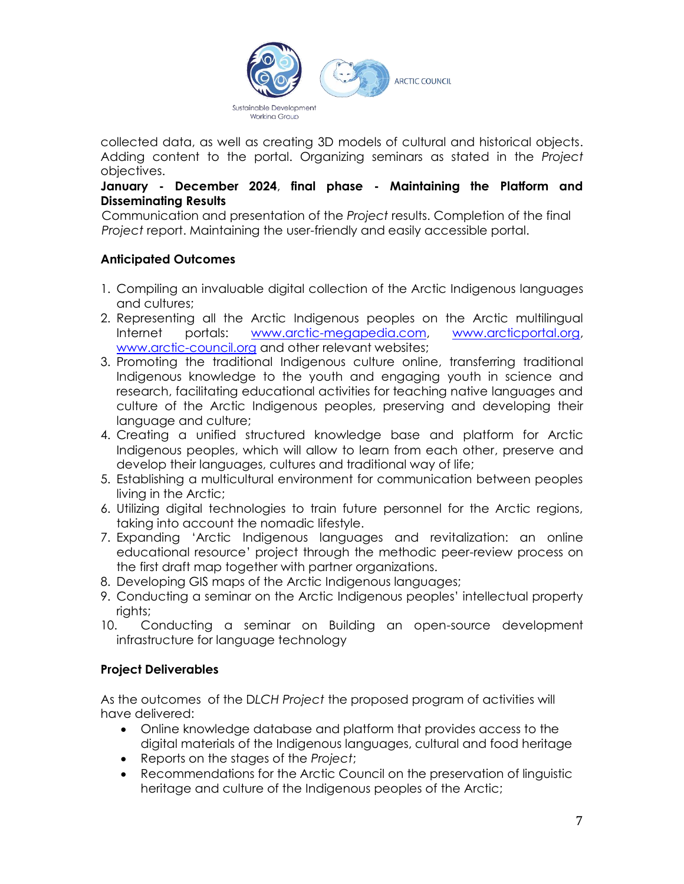

collected data, as well as creating 3D models of cultural and historical objects. Adding content to the portal. Organizing seminars as stated in the *Project* objectives.

#### **January - December 2024**, **final phase - Maintaining the Platform and Disseminating Results**

Communication and presentation of the *Project* results. Completion of the final *Project* report. Maintaining the user-friendly and easily accessible portal.

## **Anticipated Outcomes**

- 1. Compiling an invaluable digital collection of the Arctic Indigenous languages and cultures;
- 2. Representing all the Arctic Indigenous peoples on the Arctic multilingual Internet portals: [www.arctic-megapedia.com,](http://www.arctic-megapedia.com/) [www.arcticportal.org,](http://www.arcticportal.org/) [www.arctic-council.org](http://www.arctic-council.org/) and other relevant websites;
- 3. Promoting the traditional Indigenous culture online, transferring traditional Indigenous knowledge to the youth and engaging youth in science and research, facilitating educational activities for teaching native languages and culture of the Arctic Indigenous peoples, preserving and developing their language and culture;
- 4. Creating a unified structured knowledge base and platform for Arctic Indigenous peoples, which will allow to learn from each other, preserve and develop their languages, cultures and traditional way of life;
- 5. Establishing a multicultural environment for communication between peoples living in the Arctic;
- 6. Utilizing digital technologies to train future personnel for the Arctic regions, taking into account the nomadic lifestyle.
- 7. Expanding 'Arctic Indigenous languages and revitalization: an online educational resource' project through the methodic peer-review process on the first draft map together with partner organizations.
- 8. Developing GIS maps of the Arctic Indigenous languages;
- 9. Conducting a seminar on the Arctic Indigenous peoples' intellectual property rights;
- 10. Conducting a seminar on Building an open-source development infrastructure for language technology

## **Project Deliverables**

As the outcomes of the D*LCH Project* the proposed program of activities will have delivered:

- Online knowledge database and platform that provides access to the digital materials of the Indigenous languages, cultural and food heritage
- Reports on the stages of the *Project*;
- Recommendations for the Arctic Council on the preservation of linguistic heritage and culture of the Indigenous peoples of the Arctic;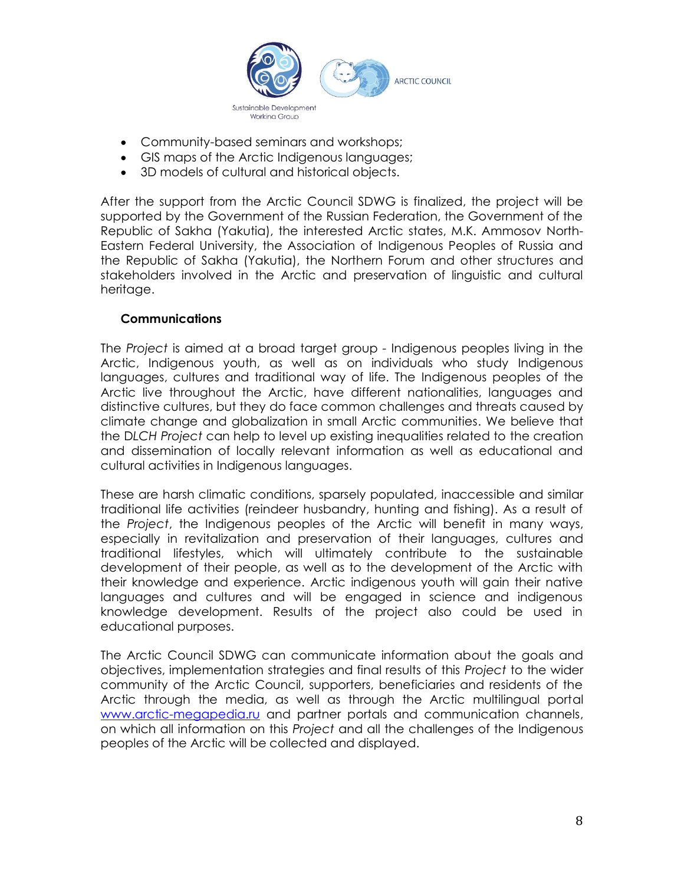

- Community-based seminars and workshops;
- GIS maps of the Arctic Indigenous languages;
- 3D models of cultural and historical objects.

After the support from the Arctic Council SDWG is finalized, the project will be supported by the Government of the Russian Federation, the Government of the Republic of Sakha (Yakutia), the interested Arctic states, M.K. Ammosov North-Eastern Federal University, the Association of Indigenous Peoples of Russia and the Republic of Sakha (Yakutia), the Northern Forum and other structures and stakeholders involved in the Arctic and preservation of linguistic and cultural heritage.

#### **Communications**

The *Project* is aimed at a broad target group - Indigenous peoples living in the Arctic, Indigenous youth, as well as on individuals who study Indigenous languages, cultures and traditional way of life. The Indigenous peoples of the Arctic live throughout the Arctic, have different nationalities, languages and distinctive cultures, but they do face common challenges and threats caused by climate change and globalization in small Arctic communities. We believe that the D*LCH Project* can help to level up existing inequalities related to the creation and dissemination of locally relevant information as well as educational and cultural activities in Indigenous languages.

These are harsh climatic conditions, sparsely populated, inaccessible and similar traditional life activities (reindeer husbandry, hunting and fishing). As a result of the *Project*, the Indigenous peoples of the Arctic will benefit in many ways, especially in revitalization and preservation of their languages, cultures and traditional lifestyles, which will ultimately contribute to the sustainable development of their people, as well as to the development of the Arctic with their knowledge and experience. Arctic indigenous youth will gain their native languages and cultures and will be engaged in science and indigenous knowledge development. Results of the project also could be used in educational purposes.

The Arctic Council SDWG can communicate information about the goals and objectives, implementation strategies and final results of this *Project* to the wider community of the Arctic Council, supporters, beneficiaries and residents of the Arctic through the media, as well as through the Arctic multilingual portal [www.arctic-megapedia.ru](http://www.arctic-megapedia.ru/) and partner portals and communication channels, on which all information on this *Project* and all the challenges of the Indigenous peoples of the Arctic will be collected and displayed.